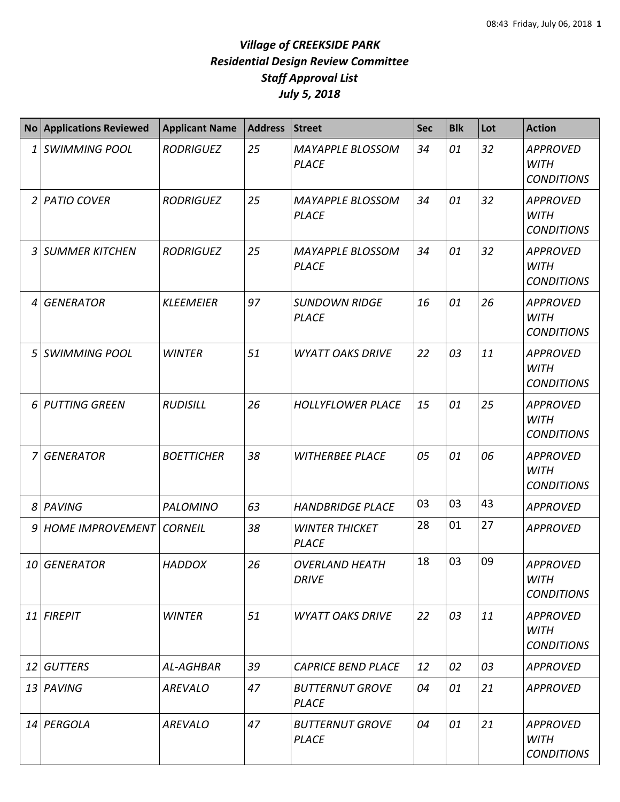|    | <b>No Applications Reviewed</b>   | <b>Applicant Name</b> | Address | <b>Street</b>                           | <b>Sec</b> | <b>Blk</b> | Lot | <b>Action</b>                                       |
|----|-----------------------------------|-----------------------|---------|-----------------------------------------|------------|------------|-----|-----------------------------------------------------|
| 1  | <b>SWIMMING POOL</b>              | <b>RODRIGUEZ</b>      | 25      | <b>MAYAPPLE BLOSSOM</b><br><b>PLACE</b> | 34         | 01         | 32  | <b>APPROVED</b><br><b>WITH</b><br><b>CONDITIONS</b> |
| 2  | <b>PATIO COVER</b>                | <b>RODRIGUEZ</b>      | 25      | <b>MAYAPPLE BLOSSOM</b><br><b>PLACE</b> | 34         | 01         | 32  | <b>APPROVED</b><br><b>WITH</b><br><b>CONDITIONS</b> |
| 3  | <b>SUMMER KITCHEN</b>             | <b>RODRIGUEZ</b>      | 25      | <b>MAYAPPLE BLOSSOM</b><br><b>PLACE</b> | 34         | 01         | 32  | <b>APPROVED</b><br><b>WITH</b><br><b>CONDITIONS</b> |
| 4  | <b>GENERATOR</b>                  | <b>KLEEMEIER</b>      | 97      | <b>SUNDOWN RIDGE</b><br><b>PLACE</b>    | 16         | 01         | 26  | <b>APPROVED</b><br><b>WITH</b><br><b>CONDITIONS</b> |
| 5  | <b>SWIMMING POOL</b>              | <b>WINTER</b>         | 51      | <b>WYATT OAKS DRIVE</b>                 | 22         | 03         | 11  | <b>APPROVED</b><br><b>WITH</b><br><b>CONDITIONS</b> |
| 6  | <b>PUTTING GREEN</b>              | <b>RUDISILL</b>       | 26      | <b>HOLLYFLOWER PLACE</b>                | 15         | 01         | 25  | <b>APPROVED</b><br><b>WITH</b><br><b>CONDITIONS</b> |
| 7  | <b>GENERATOR</b>                  | <b>BOETTICHER</b>     | 38      | <b>WITHERBEE PLACE</b>                  | 05         | 01         | 06  | <b>APPROVED</b><br><b>WITH</b><br><b>CONDITIONS</b> |
| 8  | PAVING                            | <b>PALOMINO</b>       | 63      | <b>HANDBRIDGE PLACE</b>                 | 03         | 03         | 43  | <b>APPROVED</b>                                     |
| 9  | <b>HOME IMPROVEMENT   CORNEIL</b> |                       | 38      | <b>WINTER THICKET</b><br><b>PLACE</b>   | 28         | 01         | 27  | <b>APPROVED</b>                                     |
| 10 | <b>GENERATOR</b>                  | <b>HADDOX</b>         | 26      | <b>OVERLAND HEATH</b><br><b>DRIVE</b>   | 18         | 03         | 09  | <b>APPROVED</b><br><b>WITH</b><br><b>CONDITIONS</b> |
|    | $11$ FIREPIT                      | <b>WINTER</b>         | 51      | <b>WYATT OAKS DRIVE</b>                 | 22         | 03         | 11  | <b>APPROVED</b><br><b>WITH</b><br><b>CONDITIONS</b> |
| 12 | <b>GUTTERS</b>                    | AL-AGHBAR             | 39      | <b>CAPRICE BEND PLACE</b>               | 12         | 02         | 03  | <b>APPROVED</b>                                     |
|    | 13 PAVING                         | <b>AREVALO</b>        | 47      | <b>BUTTERNUT GROVE</b><br><b>PLACE</b>  | 04         | 01         | 21  | <b>APPROVED</b>                                     |
|    | 14 PERGOLA                        | <b>AREVALO</b>        | 47      | <b>BUTTERNUT GROVE</b><br><b>PLACE</b>  | 04         | 01         | 21  | <b>APPROVED</b><br><b>WITH</b><br><b>CONDITIONS</b> |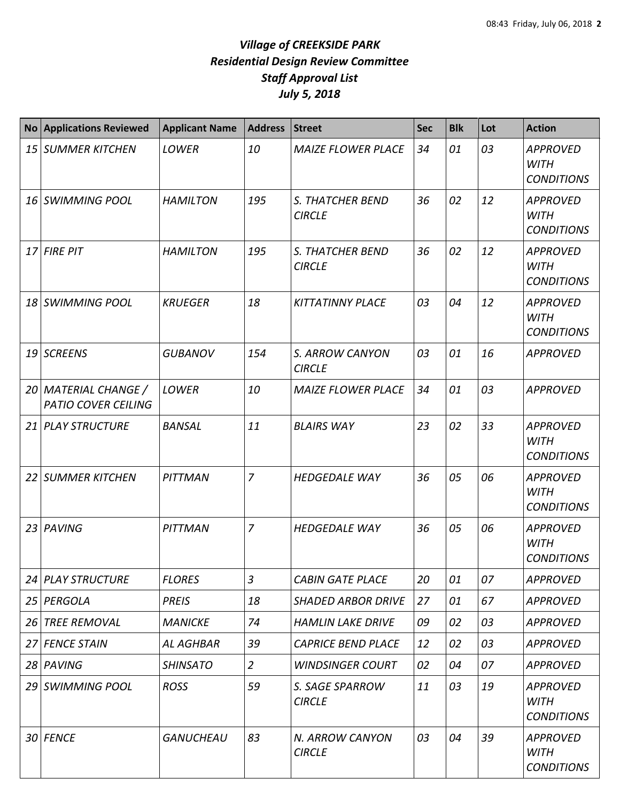| <b>No</b> | <b>Applications Reviewed</b>                       | <b>Applicant Name</b> | <b>Address</b> | <b>Street</b>                            | <b>Sec</b> | <b>Blk</b> | Lot | <b>Action</b>                                       |
|-----------|----------------------------------------------------|-----------------------|----------------|------------------------------------------|------------|------------|-----|-----------------------------------------------------|
|           | 15 SUMMER KITCHEN                                  | LOWER                 | 10             | <b>MAIZE FLOWER PLACE</b>                | 34         | 01         | 03  | <b>APPROVED</b><br><b>WITH</b><br><b>CONDITIONS</b> |
|           | 16 SWIMMING POOL                                   | <b>HAMILTON</b>       | 195            | <b>S. THATCHER BEND</b><br><b>CIRCLE</b> | 36         | 02         | 12  | <b>APPROVED</b><br><b>WITH</b><br><b>CONDITIONS</b> |
|           | 17 FIRE PIT                                        | <b>HAMILTON</b>       | 195            | S. THATCHER BEND<br><b>CIRCLE</b>        | 36         | 02         | 12  | <b>APPROVED</b><br><b>WITH</b><br><b>CONDITIONS</b> |
|           | 18 SWIMMING POOL                                   | <b>KRUEGER</b>        | 18             | <b>KITTATINNY PLACE</b>                  | 03         | 04         | 12  | <b>APPROVED</b><br><b>WITH</b><br><b>CONDITIONS</b> |
|           | 19 SCREENS                                         | <b>GUBANOV</b>        | 154            | S. ARROW CANYON<br><b>CIRCLE</b>         | 03         | 01         | 16  | <b>APPROVED</b>                                     |
|           | 20 MATERIAL CHANGE /<br><b>PATIO COVER CEILING</b> | LOWER                 | 10             | <b>MAIZE FLOWER PLACE</b>                | 34         | 01         | 03  | <b>APPROVED</b>                                     |
|           | 21 PLAY STRUCTURE                                  | <b>BANSAL</b>         | 11             | <b>BLAIRS WAY</b>                        | 23         | 02         | 33  | <b>APPROVED</b><br><b>WITH</b><br><b>CONDITIONS</b> |
|           | 22 SUMMER KITCHEN                                  | PITTMAN               | $\overline{7}$ | <b>HEDGEDALE WAY</b>                     | 36         | 05         | 06  | <b>APPROVED</b><br><b>WITH</b><br><b>CONDITIONS</b> |
|           | 23 PAVING                                          | PITTMAN               | $\overline{7}$ | <b>HEDGEDALE WAY</b>                     | 36         | 05         | 06  | <b>APPROVED</b><br><b>WITH</b><br><b>CONDITIONS</b> |
|           | 24 PLAY STRUCTURE                                  | <b>FLORES</b>         | $\mathfrak{Z}$ | <b>CABIN GATE PLACE</b>                  | 20         | 01         | 07  | <b>APPROVED</b>                                     |
|           | 25 PERGOLA                                         | <b>PREIS</b>          | 18             | <b>SHADED ARBOR DRIVE</b>                | 27         | 01         | 67  | <b>APPROVED</b>                                     |
|           | 26 TREE REMOVAL                                    | <b>MANICKE</b>        | 74             | <b>HAMLIN LAKE DRIVE</b>                 | 09         | 02         | 03  | <b>APPROVED</b>                                     |
|           | 27 FENCE STAIN                                     | <b>AL AGHBAR</b>      | 39             | <b>CAPRICE BEND PLACE</b>                | 12         | 02         | 03  | <b>APPROVED</b>                                     |
|           | 28 PAVING                                          | <b>SHINSATO</b>       | $\overline{2}$ | <b>WINDSINGER COURT</b>                  | 02         | 04         | 07  | <b>APPROVED</b>                                     |
|           | 29 SWIMMING POOL                                   | <b>ROSS</b>           | 59             | S. SAGE SPARROW<br><b>CIRCLE</b>         | 11         | 03         | 19  | <b>APPROVED</b><br><b>WITH</b><br><b>CONDITIONS</b> |
|           | 30 FENCE                                           | <b>GANUCHEAU</b>      | 83             | N. ARROW CANYON<br><b>CIRCLE</b>         | 03         | 04         | 39  | <b>APPROVED</b><br><b>WITH</b><br><b>CONDITIONS</b> |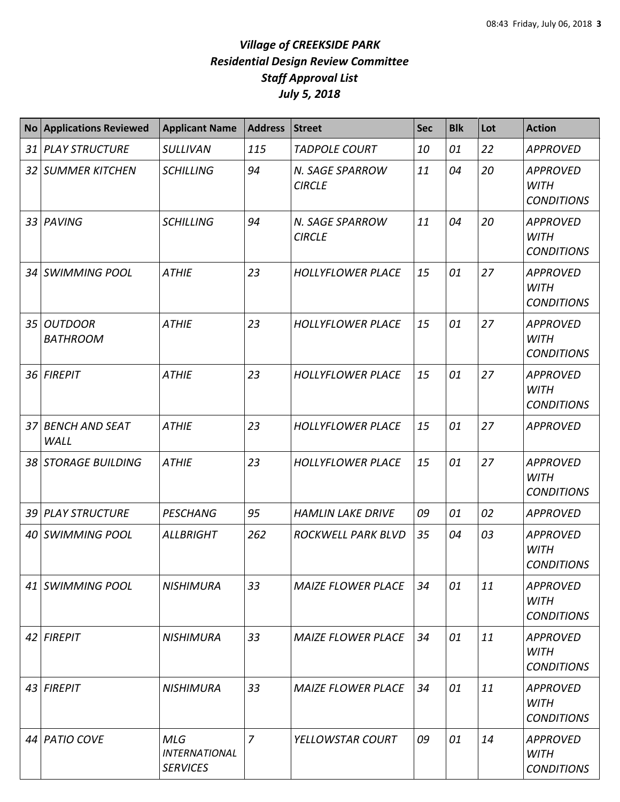| <b>No</b> | <b>Applications Reviewed</b>  | <b>Applicant Name</b>                                 | <b>Address</b> | <b>Street</b>                    | <b>Sec</b> | <b>Blk</b> | Lot | <b>Action</b>                                       |
|-----------|-------------------------------|-------------------------------------------------------|----------------|----------------------------------|------------|------------|-----|-----------------------------------------------------|
|           | 31 PLAY STRUCTURE             | <b>SULLIVAN</b>                                       | 115            | <b>TADPOLE COURT</b>             | 10         | 01         | 22  | <b>APPROVED</b>                                     |
|           | 32 SUMMER KITCHEN             | <b>SCHILLING</b>                                      | 94             | N. SAGE SPARROW<br><b>CIRCLE</b> | 11         | 04         | 20  | <b>APPROVED</b><br><b>WITH</b><br><b>CONDITIONS</b> |
|           | 33 PAVING                     | <b>SCHILLING</b>                                      | 94             | N. SAGE SPARROW<br><b>CIRCLE</b> | 11         | 04         | 20  | <b>APPROVED</b><br><b>WITH</b><br><b>CONDITIONS</b> |
|           | 34 SWIMMING POOL              | <b>ATHIE</b>                                          | 23             | <b>HOLLYFLOWER PLACE</b>         | 15         | 01         | 27  | <b>APPROVED</b><br><b>WITH</b><br><b>CONDITIONS</b> |
|           | 35 OUTDOOR<br><b>BATHROOM</b> | <b>ATHIE</b>                                          | 23             | <b>HOLLYFLOWER PLACE</b>         | 15         | 01         | 27  | <b>APPROVED</b><br><b>WITH</b><br><b>CONDITIONS</b> |
|           | 36 FIREPIT                    | <b>ATHIE</b>                                          | 23             | <b>HOLLYFLOWER PLACE</b>         | 15         | 01         | 27  | <b>APPROVED</b><br><b>WITH</b><br><b>CONDITIONS</b> |
|           | 37 BENCH AND SEAT<br>WALL     | <b>ATHIE</b>                                          | 23             | <b>HOLLYFLOWER PLACE</b>         | 15         | 01         | 27  | <b>APPROVED</b>                                     |
|           | 38 STORAGE BUILDING           | <b>ATHIE</b>                                          | 23             | <b>HOLLYFLOWER PLACE</b>         | 15         | 01         | 27  | <b>APPROVED</b><br><b>WITH</b><br><b>CONDITIONS</b> |
|           | 39 PLAY STRUCTURE             | <b>PESCHANG</b>                                       | 95             | <b>HAMLIN LAKE DRIVE</b>         | 09         | 01         | 02  | <b>APPROVED</b>                                     |
|           | 40 SWIMMING POOL              | <b>ALLBRIGHT</b>                                      | 262            | ROCKWELL PARK BLVD               | 35         | 04         | 03  | <b>APPROVED</b><br><b>WITH</b><br><b>CONDITIONS</b> |
|           | 41 SWIMMING POOL              | <b>NISHIMURA</b>                                      | 33             | <b>MAIZE FLOWER PLACE</b>        | 34         | 01         | 11  | <b>APPROVED</b><br><b>WITH</b><br><b>CONDITIONS</b> |
|           | 42 FIREPIT                    | <b>NISHIMURA</b>                                      | 33             | <b>MAIZE FLOWER PLACE</b>        | 34         | 01         | 11  | <b>APPROVED</b><br><b>WITH</b><br><b>CONDITIONS</b> |
|           | 43 FIREPIT                    | <b>NISHIMURA</b>                                      | 33             | <b>MAIZE FLOWER PLACE</b>        | 34         | 01         | 11  | <b>APPROVED</b><br><b>WITH</b><br><b>CONDITIONS</b> |
|           | 44 PATIO COVE                 | <b>MLG</b><br><b>INTERNATIONAL</b><br><b>SERVICES</b> | $\overline{7}$ | YELLOWSTAR COURT                 | 09         | 01         | 14  | <b>APPROVED</b><br><b>WITH</b><br><b>CONDITIONS</b> |